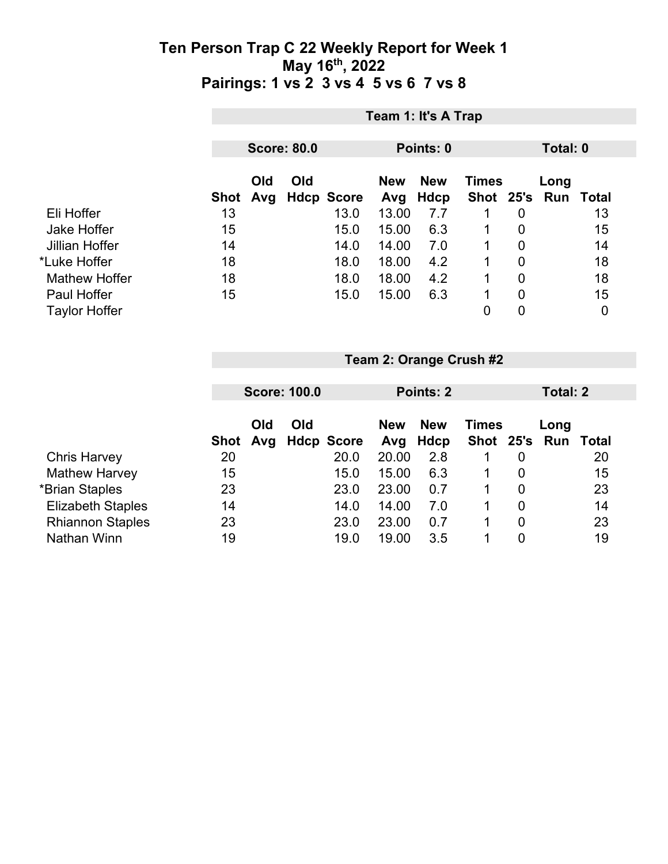|                      |      | Team 1: It's A Trap |                    |                   |                   |                           |              |   |                             |    |  |
|----------------------|------|---------------------|--------------------|-------------------|-------------------|---------------------------|--------------|---|-----------------------------|----|--|
|                      |      |                     | <b>Score: 80.0</b> |                   | Points: 0         |                           |              |   | Total: 0                    |    |  |
|                      | Shot | Old<br>Avg          | Old                | <b>Hdcp Score</b> | <b>New</b><br>Avg | <b>New</b><br><b>Hdcp</b> | <b>Times</b> |   | Long<br>Shot 25's Run Total |    |  |
| Eli Hoffer           | 13   |                     |                    | 13.0              | 13.00             | 7.7                       |              | 0 |                             | 13 |  |
| Jake Hoffer          | 15   |                     |                    | 15.0              | 15.00             | 6.3                       |              | 0 |                             | 15 |  |
| Jillian Hoffer       | 14   |                     |                    | 14.0              | 14.00             | 7.0                       |              | 0 |                             | 14 |  |
| *Luke Hoffer         | 18   |                     |                    | 18.0              | 18.00             | 4.2                       |              | 0 |                             | 18 |  |
| <b>Mathew Hoffer</b> | 18   |                     |                    | 18.0              | 18.00             | 4.2                       |              | 0 |                             | 18 |  |
| <b>Paul Hoffer</b>   | 15   |                     |                    | 15.0              | 15.00             | 6.3                       |              | 0 |                             | 15 |  |
| <b>Taylor Hoffer</b> |      |                     |                    |                   |                   |                           | $\mathbf 0$  | 0 |                             | 0  |  |

|                          | <b>Score: 100.0</b> |            |     | Points: 2         |                   |                    |                               | Total: 2 |      |       |
|--------------------------|---------------------|------------|-----|-------------------|-------------------|--------------------|-------------------------------|----------|------|-------|
|                          | Shot                | Old<br>Avg | Old | <b>Hdcp Score</b> | <b>New</b><br>Avg | <b>New</b><br>Hdcp | <b>Times</b><br>Shot 25's Run |          | Long | Total |
| <b>Chris Harvey</b>      | 20                  |            |     | 20.0              | 20.00             | 2.8                |                               | 0        |      | 20    |
| <b>Mathew Harvey</b>     | 15                  |            |     | 15.0              | 15.00             | 6.3                |                               | 0        |      | 15    |
| *Brian Staples           | 23                  |            |     | 23.0              | 23.00             | 0.7                |                               | 0        |      | 23    |
| <b>Elizabeth Staples</b> | 14                  |            |     | 14.0              | 14.00             | 7.0                | 1                             | 0        |      | 14    |
| <b>Rhiannon Staples</b>  | 23                  |            |     | 23.0              | 23.00             | 0.7                |                               | 0        |      | 23    |
| Nathan Winn              | 19                  |            |     | 19.0              | 19.00             | 3.5                |                               | 0        |      | 19    |

**Team 2: Orange Crush #2**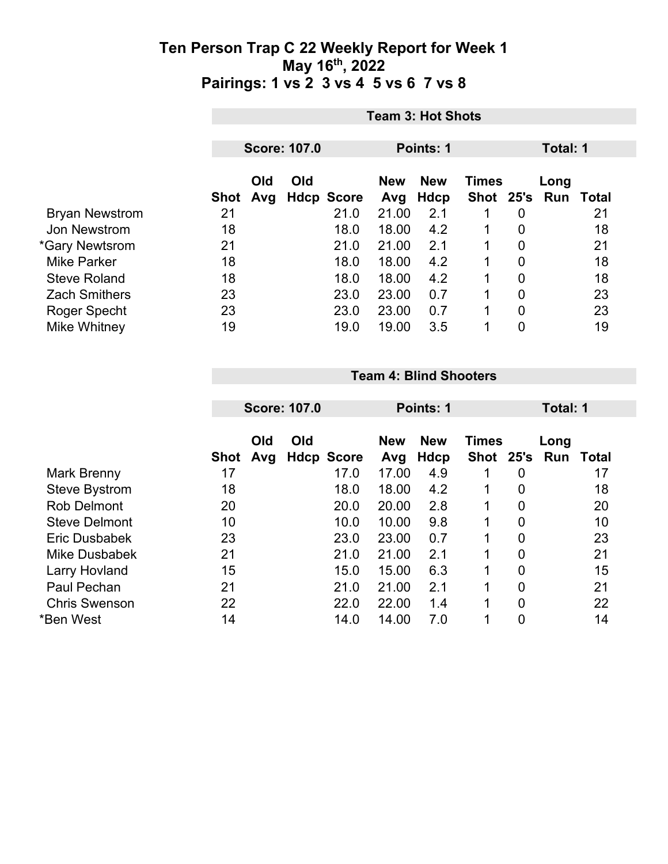|                       | <b>Team 3: Hot Shots</b> |     |  |                                          |       |      |             |                |                     |    |
|-----------------------|--------------------------|-----|--|------------------------------------------|-------|------|-------------|----------------|---------------------|----|
|                       |                          |     |  |                                          |       |      |             |                |                     |    |
|                       | <b>Score: 107.0</b>      |     |  | Points: 1                                |       |      | Total: 1    |                |                     |    |
|                       | Old<br>Old               |     |  | <b>New</b><br><b>New</b><br><b>Times</b> |       |      | Long        |                |                     |    |
|                       | Shot                     | Avg |  | <b>Hdcp Score</b>                        | Avg   | Hdcp |             |                | Shot 25's Run Total |    |
| <b>Bryan Newstrom</b> | 21                       |     |  | 21.0                                     | 21.00 | 2.1  |             | 0              |                     | 21 |
| Jon Newstrom          | 18                       |     |  | 18.0                                     | 18.00 | 4.2  | 1           | 0              |                     | 18 |
| *Gary Newtsrom        | 21                       |     |  | 21.0                                     | 21.00 | 2.1  | 1           | 0              |                     | 21 |
| <b>Mike Parker</b>    | 18                       |     |  | 18.0                                     | 18.00 | 4.2  | 1           | $\overline{0}$ |                     | 18 |
| <b>Steve Roland</b>   | 18                       |     |  | 18.0                                     | 18.00 | 4.2  | $\mathbf 1$ | 0              |                     | 18 |
| <b>Zach Smithers</b>  | 23                       |     |  | 23.0                                     | 23.00 | 0.7  | 1           | $\overline{0}$ |                     | 23 |
| Roger Specht          | 23                       |     |  | 23.0                                     | 23.00 | 0.7  | 1           | 0              |                     | 23 |
| Mike Whitney          | 19                       |     |  | 19.0                                     | 19.00 | 3.5  | 1           | 0              |                     | 19 |

#### **Team 4: Blind Shooters**

|                      | <b>Score: 107.0</b> |            |     | Points: 1         |                   |                    |                      | Total: 1       |             |       |
|----------------------|---------------------|------------|-----|-------------------|-------------------|--------------------|----------------------|----------------|-------------|-------|
|                      | Shot                | Old<br>Avg | Old | <b>Hdcp Score</b> | <b>New</b><br>Avg | <b>New</b><br>Hdcp | <b>Times</b><br>Shot | 25's           | Long<br>Run | Total |
| Mark Brenny          | 17                  |            |     | 17.0              | 17.00             | 4.9                |                      | 0              |             | 17    |
| <b>Steve Bystrom</b> | 18                  |            |     | 18.0              | 18.00             | 4.2                |                      | $\overline{0}$ |             | 18    |
| <b>Rob Delmont</b>   | 20                  |            |     | 20.0              | 20.00             | 2.8                | 1                    | $\overline{0}$ |             | 20    |
| <b>Steve Delmont</b> | 10                  |            |     | 10.0              | 10.00             | 9.8                |                      | $\overline{0}$ |             | 10    |
| Eric Dusbabek        | 23                  |            |     | 23.0              | 23.00             | 0.7                |                      | $\overline{0}$ |             | 23    |
| Mike Dusbabek        | 21                  |            |     | 21.0              | 21.00             | 2.1                | 1                    | $\overline{0}$ |             | 21    |
| <b>Larry Hovland</b> | 15                  |            |     | 15.0              | 15.00             | 6.3                |                      | $\overline{0}$ |             | 15    |
| Paul Pechan          | 21                  |            |     | 21.0              | 21.00             | 2.1                | 1                    | $\overline{0}$ |             | 21    |
| <b>Chris Swenson</b> | 22                  |            |     | 22.0              | 22.00             | 1.4                |                      | $\overline{0}$ |             | 22    |
| *Ben West            | 14                  |            |     | 14.0              | 14.00             | 7.0                |                      | 0              |             | 14    |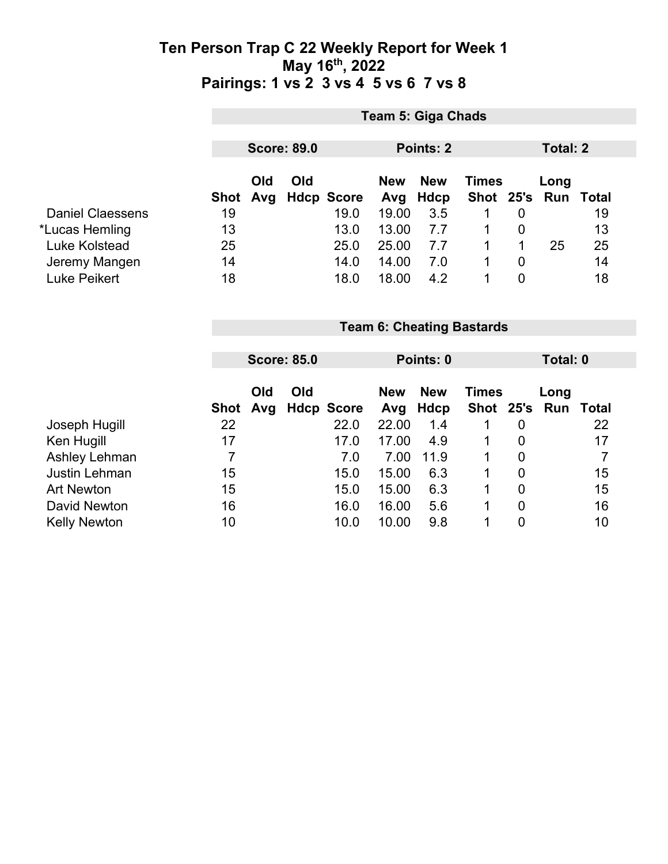|                         |                | Team 5: Giga Chads |                    |                   |            |             |                                  |                |                 |              |  |
|-------------------------|----------------|--------------------|--------------------|-------------------|------------|-------------|----------------------------------|----------------|-----------------|--------------|--|
|                         |                |                    |                    |                   |            |             |                                  |                |                 |              |  |
|                         |                |                    | <b>Score: 89.0</b> |                   |            | Points: 2   |                                  |                | <b>Total: 2</b> |              |  |
|                         |                | Old                | Old                |                   | <b>New</b> | <b>New</b>  | <b>Times</b>                     |                | Long            |              |  |
|                         | <b>Shot</b>    | Avg                |                    | <b>Hdcp Score</b> | Avg        | <b>Hdcp</b> | Shot 25's                        |                | Run             | <b>Total</b> |  |
| <b>Daniel Claessens</b> | 19             |                    |                    | 19.0              | 19.00      | 3.5         | 1                                | $\overline{0}$ |                 | 19           |  |
| *Lucas Hemling          | 13             |                    |                    | 13.0              | 13.00      | 7.7         | 1                                | 0              |                 | 13           |  |
| <b>Luke Kolstead</b>    | 25             |                    |                    | 25.0              | 25.00      | 7.7         | 1                                | 1              | 25              | 25           |  |
| Jeremy Mangen           | 14             |                    |                    | 14.0              | 14.00      | 7.0         | 1                                | $\overline{0}$ |                 | 14           |  |
| <b>Luke Peikert</b>     | 18             |                    |                    | 18.0              | 18.00      | 4.2         | 1                                | $\overline{0}$ |                 | 18           |  |
|                         |                |                    |                    |                   |            |             |                                  |                |                 |              |  |
|                         |                |                    |                    |                   |            |             |                                  |                |                 |              |  |
|                         |                |                    |                    |                   |            |             | <b>Team 6: Cheating Bastards</b> |                |                 |              |  |
|                         |                |                    |                    |                   |            |             |                                  |                |                 |              |  |
|                         |                |                    | <b>Score: 85.0</b> |                   | Points: 0  |             |                                  | Total: 0       |                 |              |  |
|                         |                |                    |                    |                   |            |             |                                  |                |                 |              |  |
|                         |                | Old                | Old                |                   | <b>New</b> | <b>New</b>  | <b>Times</b>                     |                | Long            |              |  |
|                         | <b>Shot</b>    | Avg                |                    | <b>Hdcp Score</b> | Avg        | <b>Hdcp</b> | Shot 25's                        |                | Run             | Total        |  |
| Joseph Hugill           | 22             |                    |                    | 22.0              | 22.00      | 1.4         | 1                                | $\mathbf 0$    |                 | 22           |  |
| Ken Hugill              | 17             |                    |                    | 17.0              | 17.00      | 4.9         | 1                                | 0              |                 | 17           |  |
| Ashley Lehman           | $\overline{7}$ |                    |                    | 7.0               | 7.00       | 11.9        | 1                                | $\mathbf 0$    |                 | 7            |  |
| <b>Justin Lehman</b>    | 15             |                    |                    | 15.0              | 15.00      | 6.3         | 1                                | 0              |                 | 15           |  |
| <b>Art Newton</b>       | 15             |                    |                    | 15.0              | 15.00      | 6.3         | 1                                | $\mathbf 0$    |                 | 15           |  |
| David Newton            | 16             |                    |                    | 16.0              | 16.00      | 5.6         | 1                                | $\mathbf 0$    |                 | 16           |  |
| <b>Kelly Newton</b>     | 10             |                    |                    | 10.0              | 10.00      | 9.8         | 1                                | 0              |                 | 10           |  |

Kelly Newton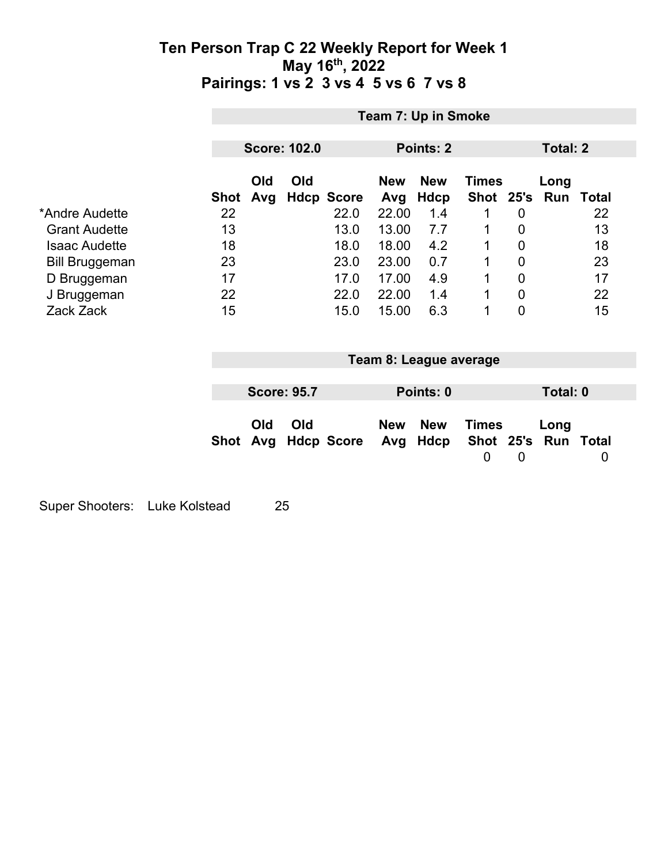|                                                              | Team 7: Up in Smoke |                     |     |                      |                         |                           |                                |                                           |                          |                |  |
|--------------------------------------------------------------|---------------------|---------------------|-----|----------------------|-------------------------|---------------------------|--------------------------------|-------------------------------------------|--------------------------|----------------|--|
|                                                              |                     | <b>Score: 102.0</b> |     |                      | <b>Points: 2</b>        |                           |                                |                                           | <b>Total: 2</b>          |                |  |
|                                                              | <b>Shot</b>         | Old<br>Avg          | Old | <b>Hdcp Score</b>    | <b>New</b><br>Avg       | <b>New</b><br>Hdcp        | <b>Times</b><br>Shot 25's      |                                           | Long<br><b>Run Total</b> |                |  |
| *Andre Audette<br><b>Grant Audette</b>                       | 22<br>13            |                     |     | 22.0<br>13.0         | 22.00<br>13.00          | 1.4<br>7.7                | $\mathbf 1$<br>1               | $\mathbf 0$<br>0                          |                          | 22<br>13       |  |
| <b>Isaac Audette</b><br><b>Bill Bruggeman</b><br>D Bruggeman | 18<br>23<br>17      |                     |     | 18.0<br>23.0<br>17.0 | 18.00<br>23.00<br>17.00 | 4.2<br>0.7<br>4.9         | 1<br>1<br>1                    | $\mathbf 0$<br>$\mathbf 0$<br>$\mathbf 0$ |                          | 18<br>23<br>17 |  |
| J Bruggeman<br>Zack Zack                                     | 22<br>15            |                     |     | 22.0<br>15.0         | 22.00<br>15.00          | 1.4<br>6.3                | 1<br>1                         | 0<br>$\mathbf 0$                          |                          | 22<br>15       |  |
|                                                              |                     |                     |     |                      |                         |                           |                                |                                           |                          |                |  |
|                                                              |                     |                     |     |                      |                         | Team 8: League average    |                                |                                           |                          |                |  |
|                                                              |                     | <b>Score: 95.7</b>  |     |                      |                         | Points: 0                 |                                |                                           | Total: 0                 |                |  |
|                                                              | Shot                | Old<br>Avg          | Old | <b>Hdcp Score</b>    | <b>New</b><br>Avg       | <b>New</b><br><b>Hdcp</b> | <b>Times</b><br>Shot 25's<br>0 | $\boldsymbol{0}$                          | Long<br><b>Run Total</b> | 0              |  |

Super Shooters: Luke Kolstead 25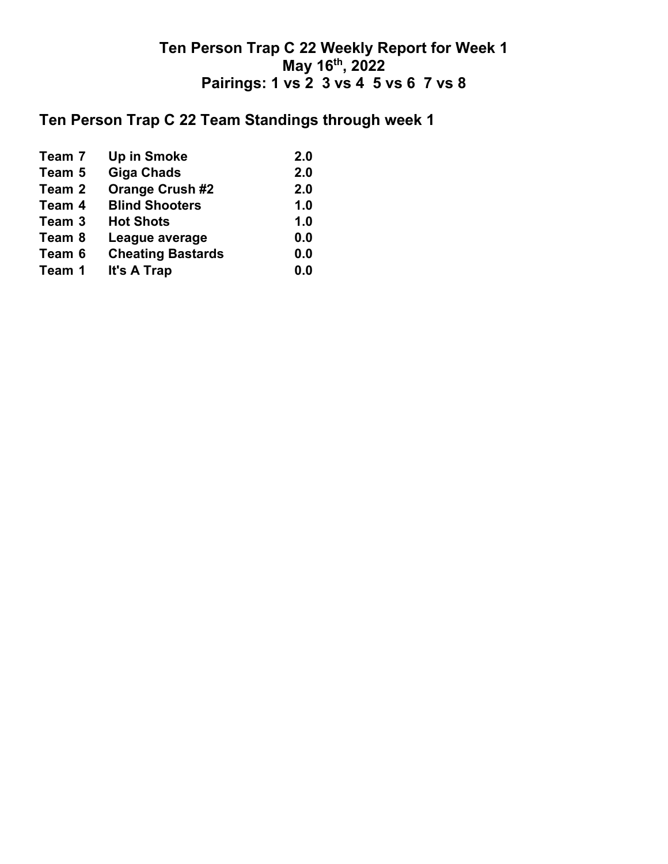# **Ten Person Trap C 22 Team Standings through week 1**

| Team 7 | <b>Up in Smoke</b>       | 2.0 |
|--------|--------------------------|-----|
| Team 5 | <b>Giga Chads</b>        | 2.0 |
| Team 2 | <b>Orange Crush #2</b>   | 2.0 |
| Team 4 | <b>Blind Shooters</b>    | 1.0 |
| Team 3 | <b>Hot Shots</b>         | 1.0 |
| Team 8 | League average           | 0.0 |
| Team 6 | <b>Cheating Bastards</b> | 0.0 |
| Team 1 | It's A Trap              | 0.0 |
|        |                          |     |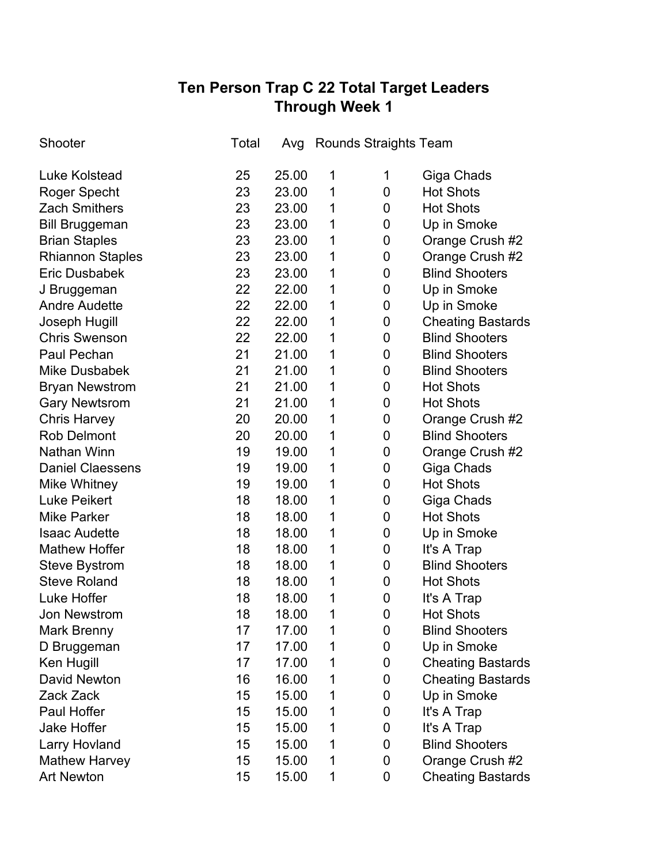## **Ten Person Trap C 22 Total Target Leaders Through Week 1**

| Shooter                 | Total | Avg   | <b>Rounds Straights Team</b> |                |                          |
|-------------------------|-------|-------|------------------------------|----------------|--------------------------|
| <b>Luke Kolstead</b>    | 25    | 25.00 | 1                            | 1              | Giga Chads               |
| Roger Specht            | 23    | 23.00 | 1                            | 0              | <b>Hot Shots</b>         |
| <b>Zach Smithers</b>    | 23    | 23.00 | 1                            | 0              | <b>Hot Shots</b>         |
| <b>Bill Bruggeman</b>   | 23    | 23.00 | 1                            | 0              | Up in Smoke              |
| <b>Brian Staples</b>    | 23    | 23.00 | 1                            | 0              | Orange Crush #2          |
| <b>Rhiannon Staples</b> | 23    | 23.00 | 1                            | 0              | Orange Crush #2          |
| <b>Eric Dusbabek</b>    | 23    | 23.00 | 1                            | 0              | <b>Blind Shooters</b>    |
| J Bruggeman             | 22    | 22.00 | 1                            | 0              | Up in Smoke              |
| <b>Andre Audette</b>    | 22    | 22.00 | 1                            | 0              | Up in Smoke              |
| Joseph Hugill           | 22    | 22.00 | 1                            | 0              | <b>Cheating Bastards</b> |
| <b>Chris Swenson</b>    | 22    | 22.00 | 1                            | 0              | <b>Blind Shooters</b>    |
| Paul Pechan             | 21    | 21.00 | 1                            | 0              | <b>Blind Shooters</b>    |
| <b>Mike Dusbabek</b>    | 21    | 21.00 | 1                            | 0              | <b>Blind Shooters</b>    |
| <b>Bryan Newstrom</b>   | 21    | 21.00 | 1                            | 0              | <b>Hot Shots</b>         |
| <b>Gary Newtsrom</b>    | 21    | 21.00 | 1                            | 0              | <b>Hot Shots</b>         |
| <b>Chris Harvey</b>     | 20    | 20.00 | 1                            | 0              | Orange Crush #2          |
| <b>Rob Delmont</b>      | 20    | 20.00 | 1                            | 0              | <b>Blind Shooters</b>    |
| Nathan Winn             | 19    | 19.00 | 1                            | 0              | Orange Crush #2          |
| <b>Daniel Claessens</b> | 19    | 19.00 | 1                            | 0              | Giga Chads               |
| <b>Mike Whitney</b>     | 19    | 19.00 | 1                            | 0              | <b>Hot Shots</b>         |
| <b>Luke Peikert</b>     | 18    | 18.00 | 1                            | 0              | Giga Chads               |
| <b>Mike Parker</b>      | 18    | 18.00 | 1                            | 0              | <b>Hot Shots</b>         |
| <b>Isaac Audette</b>    | 18    | 18.00 | 1                            | 0              | Up in Smoke              |
| <b>Mathew Hoffer</b>    | 18    | 18.00 | 1                            | 0              | It's A Trap              |
| <b>Steve Bystrom</b>    | 18    | 18.00 | 1                            | 0              | <b>Blind Shooters</b>    |
| <b>Steve Roland</b>     | 18    | 18.00 | 1                            | 0              | <b>Hot Shots</b>         |
| Luke Hoffer             | 18    | 18.00 | 1                            | 0              | It's A Trap              |
| <b>Jon Newstrom</b>     | 18    | 18.00 | 1                            | $\overline{0}$ | <b>Hot Shots</b>         |
| Mark Brenny             | 17    | 17.00 | 1                            | 0              | <b>Blind Shooters</b>    |
| D Bruggeman             | 17    | 17.00 | 1                            | 0              | Up in Smoke              |
| Ken Hugill              | 17    | 17.00 | 1                            | 0              | <b>Cheating Bastards</b> |
| <b>David Newton</b>     | 16    | 16.00 | 1                            | 0              | <b>Cheating Bastards</b> |
| Zack Zack               | 15    | 15.00 | 1                            | 0              | Up in Smoke              |
| Paul Hoffer             | 15    | 15.00 | 1                            | 0              | It's A Trap              |
| <b>Jake Hoffer</b>      | 15    | 15.00 | 1                            | 0              | It's A Trap              |
| Larry Hovland           | 15    | 15.00 | 1                            | 0              | <b>Blind Shooters</b>    |
| <b>Mathew Harvey</b>    | 15    | 15.00 | 1                            | 0              | Orange Crush #2          |
| <b>Art Newton</b>       | 15    | 15.00 | 1                            | $\mathbf 0$    | <b>Cheating Bastards</b> |